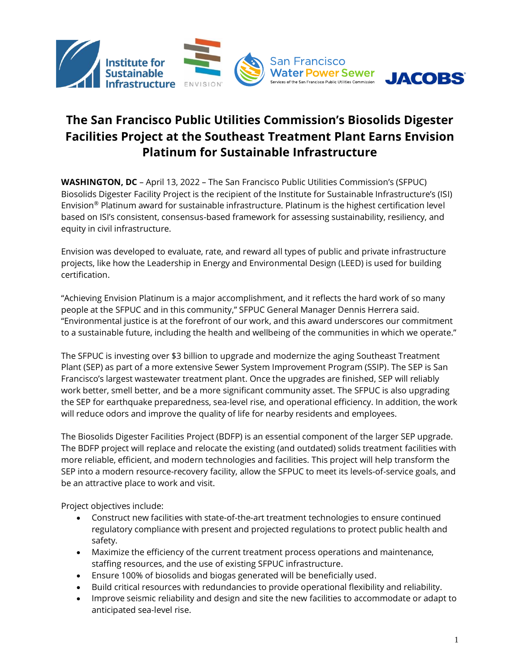

# **The San Francisco Public Utilities Commission's Biosolids Digester Facilities Project at the Southeast Treatment Plant Earns Envision Platinum for Sustainable Infrastructure**

**WASHINGTON, DC** – April 13, 2022 – The San Francisco Public Utilities Commission's (SFPUC) Biosolids Digester Facility Project is the recipient of the Institute for Sustainable Infrastructure's (ISI) Envision® Platinum award for sustainable infrastructure. Platinum is the highest certification level based on ISI's consistent, consensus-based framework for assessing sustainability, resiliency, and equity in civil infrastructure.

Envision was developed to evaluate, rate, and reward all types of public and private infrastructure projects, like how the Leadership in Energy and Environmental Design (LEED) is used for building certification.

"Achieving Envision Platinum is a major accomplishment, and it reflects the hard work of so many people at the SFPUC and in this community," SFPUC General Manager Dennis Herrera said. "Environmental justice is at the forefront of our work, and this award underscores our commitment to a sustainable future, including the health and wellbeing of the communities in which we operate."

The SFPUC is investing over \$3 billion to upgrade and modernize the aging Southeast Treatment Plant (SEP) as part of a more extensive Sewer System Improvement Program (SSIP). The SEP is San Francisco's largest wastewater treatment plant. Once the upgrades are finished, SEP will reliably work better, smell better, and be a more significant community asset. The SFPUC is also upgrading the SEP for earthquake preparedness, sea-level rise, and operational efficiency. In addition, the work will reduce odors and improve the quality of life for nearby residents and employees.

The Biosolids Digester Facilities Project (BDFP) is an essential component of the larger SEP upgrade. The BDFP project will replace and relocate the existing (and outdated) solids treatment facilities with more reliable, efficient, and modern technologies and facilities. This project will help transform the SEP into a modern resource-recovery facility, allow the SFPUC to meet its levels-of-service goals, and be an attractive place to work and visit.

Project objectives include:

- Construct new facilities with state-of-the-art treatment technologies to ensure continued regulatory compliance with present and projected regulations to protect public health and safety.
- Maximize the efficiency of the current treatment process operations and maintenance, staffing resources, and the use of existing SFPUC infrastructure.
- Ensure 100% of biosolids and biogas generated will be beneficially used.
- Build critical resources with redundancies to provide operational flexibility and reliability.
- Improve seismic reliability and design and site the new facilities to accommodate or adapt to anticipated sea-level rise.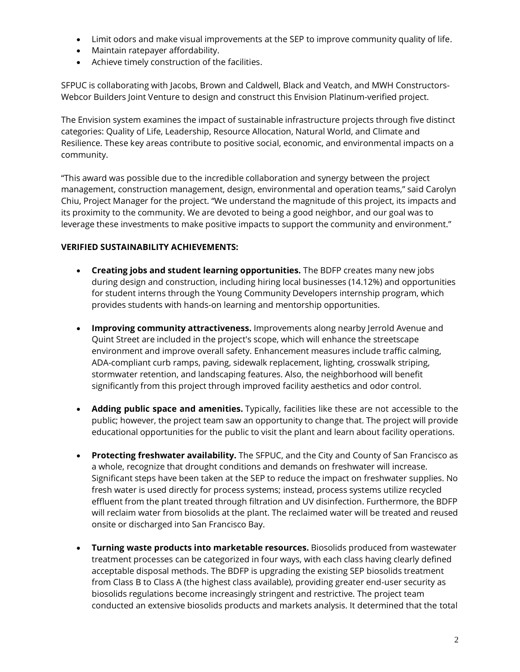- Limit odors and make visual improvements at the SEP to improve community quality of life.
- Maintain ratepayer affordability.
- Achieve timely construction of the facilities.

SFPUC is collaborating with Jacobs, Brown and Caldwell, Black and Veatch, and MWH Constructors-Webcor Builders Joint Venture to design and construct this Envision Platinum-verified project.

The Envision system examines the impact of sustainable infrastructure projects through five distinct categories: Quality of Life, Leadership, Resource Allocation, Natural World, and Climate and Resilience. These key areas contribute to positive social, economic, and environmental impacts on a community.

"This award was possible due to the incredible collaboration and synergy between the project management, construction management, design, environmental and operation teams," said Carolyn Chiu, Project Manager for the project. "We understand the magnitude of this project, its impacts and its proximity to the community. We are devoted to being a good neighbor, and our goal was to leverage these investments to make positive impacts to support the community and environment."

## **VERIFIED SUSTAINABILITY ACHIEVEMENTS:**

- **Creating jobs and student learning opportunities.** The BDFP creates many new jobs during design and construction, including hiring local businesses (14.12%) and opportunities for student interns through the Young Community Developers internship program, which provides students with hands-on learning and mentorship opportunities.
- **Improving community attractiveness.** Improvements along nearby Jerrold Avenue and Quint Street are included in the project's scope, which will enhance the streetscape environment and improve overall safety. Enhancement measures include traffic calming, ADA-compliant curb ramps, paving, sidewalk replacement, lighting, crosswalk striping, stormwater retention, and landscaping features. Also, the neighborhood will benefit significantly from this project through improved facility aesthetics and odor control.
- **Adding public space and amenities.** Typically, facilities like these are not accessible to the public; however, the project team saw an opportunity to change that. The project will provide educational opportunities for the public to visit the plant and learn about facility operations.
- **Protecting freshwater availability.** The SFPUC, and the City and County of San Francisco as a whole, recognize that drought conditions and demands on freshwater will increase. Significant steps have been taken at the SEP to reduce the impact on freshwater supplies. No fresh water is used directly for process systems; instead, process systems utilize recycled effluent from the plant treated through filtration and UV disinfection. Furthermore, the BDFP will reclaim water from biosolids at the plant. The reclaimed water will be treated and reused onsite or discharged into San Francisco Bay.
- **Turning waste products into marketable resources.** Biosolids produced from wastewater treatment processes can be categorized in four ways, with each class having clearly defined acceptable disposal methods. The BDFP is upgrading the existing SEP biosolids treatment from Class B to Class A (the highest class available), providing greater end-user security as biosolids regulations become increasingly stringent and restrictive. The project team conducted an extensive biosolids products and markets analysis. It determined that the total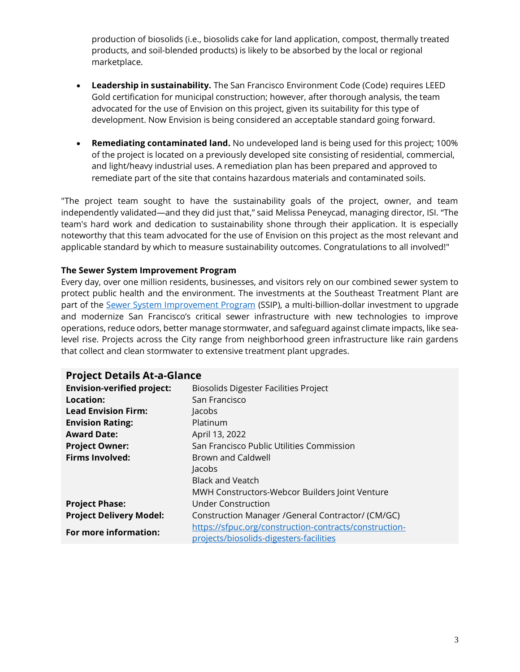production of biosolids (i.e., biosolids cake for land application, compost, thermally treated products, and soil-blended products) is likely to be absorbed by the local or regional marketplace.

- **Leadership in sustainability.** The San Francisco Environment Code (Code) requires LEED Gold certification for municipal construction; however, after thorough analysis, the team advocated for the use of Envision on this project, given its suitability for this type of development. Now Envision is being considered an acceptable standard going forward.
- **Remediating contaminated land.** No undeveloped land is being used for this project; 100% of the project is located on a previously developed site consisting of residential, commercial, and light/heavy industrial uses. A remediation plan has been prepared and approved to remediate part of the site that contains hazardous materials and contaminated soils.

"The project team sought to have the sustainability goals of the project, owner, and team independently validated—and they did just that," said Melissa Peneycad, managing director, ISI. "The team's hard work and dedication to sustainability shone through their application. It is especially noteworthy that this team advocated for the use of Envision on this project as the most relevant and applicable standard by which to measure sustainability outcomes. Congratulations to all involved!"

#### **The Sewer System Improvement Program**

Every day, over one million residents, businesses, and visitors rely on our combined sewer system to protect public health and the environment. The investments at the Southeast Treatment Plant are part of the [Sewer System Improvement Program](http://sfpuc.org/ssip) (SSIP), a multi-billion-dollar investment to upgrade and modernize San Francisco's critical sewer infrastructure with new technologies to improve operations, reduce odors, better manage stormwater, and safeguard against climate impacts, like sealevel rise. Projects across the City range from neighborhood green infrastructure like rain gardens that collect and clean stormwater to extensive treatment plant upgrades.

# **Project Details At-a-Glance**

| <b>Envision-verified project:</b> | <b>Biosolids Digester Facilities Project</b>           |
|-----------------------------------|--------------------------------------------------------|
| Location:                         | San Francisco                                          |
| <b>Lead Envision Firm:</b>        | Jacobs                                                 |
| <b>Envision Rating:</b>           | Platinum                                               |
| <b>Award Date:</b>                | April 13, 2022                                         |
| <b>Project Owner:</b>             | San Francisco Public Utilities Commission              |
| <b>Firms Involved:</b>            | Brown and Caldwell                                     |
|                                   | Jacobs                                                 |
|                                   | <b>Black and Veatch</b>                                |
|                                   | MWH Constructors-Webcor Builders Joint Venture         |
| <b>Project Phase:</b>             | Under Construction                                     |
| <b>Project Delivery Model:</b>    | Construction Manager / General Contractor/ (CM/GC)     |
| For more information:             | https://sfpuc.org/construction-contracts/construction- |
|                                   | projects/biosolids-digesters-facilities                |